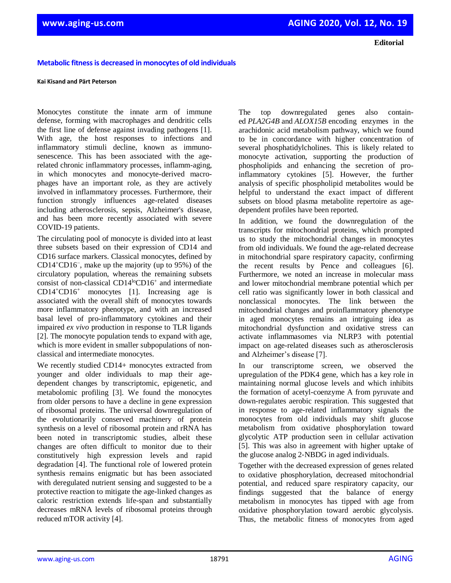**Editorial**

## **Metabolic fitness is decreased in monocytes of old individuals**

#### **Kai Kisand and Pärt Peterson**

Monocytes constitute the innate arm of immune defense, forming with macrophages and dendritic cells the first line of defense against invading pathogens [1]. With age, the host responses to infections and inflammatory stimuli decline, known as immunosenescence. This has been associated with the agerelated chronic inflammatory processes, inflamm-aging, in which monocytes and monocyte-derived macrophages have an important role, as they are actively involved in inflammatory processes. Furthermore, their function strongly influences age-related diseases including atherosclerosis, sepsis, Alzheimer's disease, and has been more recently associated with severe COVID-19 patients.

The circulating pool of monocyte is divided into at least three subsets based on their expression of CD14 and CD16 surface markers. Classical monocytes, defined by CD14<sup>+</sup>CD16<sup>−</sup> , make up the majority (up to 95%) of the circulatory population, whereas the remaining subsets consist of non-classical CD14<sup>lo</sup>CD16<sup>+</sup> and intermediate CD14<sup>+</sup>CD16<sup>+</sup> monocytes [1]. Increasing age is associated with the overall shift of monocytes towards more inflammatory phenotype, and with an increased basal level of pro-inflammatory cytokines and their impaired *ex vivo* production in response to TLR ligands [2]. The monocyte population tends to expand with age, which is more evident in smaller subpopulations of nonclassical and intermediate monocytes.

We recently studied CD14+ monocytes extracted from younger and older individuals to map their agedependent changes by transcriptomic, epigenetic, and metabolomic profiling [3]. We found the monocytes from older persons to have a decline in gene expression of ribosomal proteins. The universal downregulation of the evolutionarily conserved machinery of protein synthesis on a level of ribosomal protein and rRNA has been noted in transcriptomic studies, albeit these changes are often difficult to monitor due to their constitutively high expression levels and rapid degradation [4]. The functional role of lowered protein synthesis remains enigmatic but has been associated with deregulated nutrient sensing and suggested to be a protective reaction to mitigate the age-linked changes as caloric restriction extends life-span and substantially decreases mRNA levels of ribosomal proteins through reduced mTOR activity [4].

The top downregulated genes also contained *PLA2G4B* and *ALOX15B* encoding enzymes in the arachidonic acid metabolism pathway, which we found to be in concordance with higher concentration of several phosphatidylcholines. This is likely related to monocyte activation, supporting the production of phospholipids and enhancing the secretion of proinflammatory cytokines [5]. However, the further analysis of specific phospholipid metabolites would be helpful to understand the exact impact of different subsets on blood plasma metabolite repertoire as agedependent profiles have been reported.

In addition, we found the downregulation of the transcripts for mitochondrial proteins, which prompted us to study the mitochondrial changes in monocytes from old individuals. We found the age-related decrease in mitochondrial spare respiratory capacity, confirming the recent results by Pence and colleagues [6]. Furthermore, we noted an increase in molecular mass and lower mitochondrial membrane potential which per cell ratio was significantly lower in both classical and nonclassical monocytes. The link between the mitochondrial changes and proinflammatory phenotype in aged monocytes remains an intriguing idea as mitochondrial dysfunction and oxidative stress can activate inflammasomes via NLRP3 with potential impact on age-related diseases such as atherosclerosis and Alzheimer's disease [7].

In our transcriptome screen, we observed the upregulation of the PDK4 gene, which has a key role in maintaining normal glucose levels and which inhibits the formation of acetyl-coenzyme A from pyruvate and down-regulates aerobic respiration. This suggested that in response to age-related inflammatory signals the monocytes from old individuals may shift glucose metabolism from oxidative phosphorylation toward glycolytic ATP production seen in cellular activation [5]. This was also in agreement with higher uptake of the glucose analog 2‐NBDG in aged individuals.

Together with the decreased expression of genes related to oxidative phosphorylation, decreased mitochondrial potential, and reduced spare respiratory capacity, our findings suggested that the balance of energy metabolism in monocytes has tipped with age from oxidative phosphorylation toward aerobic glycolysis. Thus, the metabolic fitness of monocytes from aged